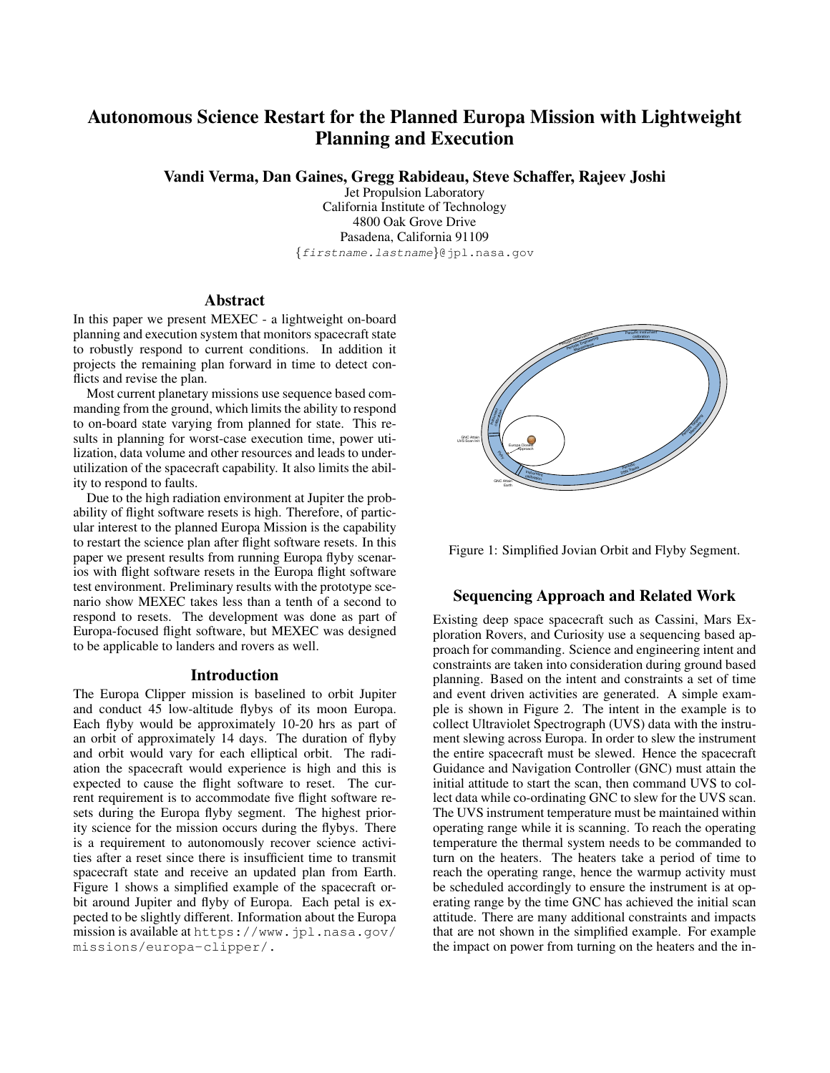# Autonomous Science Restart for the Planned Europa Mission with Lightweight Planning and Execution

Vandi Verma, Dan Gaines, Gregg Rabideau, Steve Schaffer, Rajeev Joshi

Jet Propulsion Laboratory California Institute of Technology 4800 Oak Grove Drive Pasadena, California 91109 *{firstname.lastname}*@jpl.nasa.gov

# **Abstract**

In this paper we present MEXEC - a lightweight on-board planning and execution system that monitors spacecraft state to robustly respond to current conditions. In addition it projects the remaining plan forward in time to detect conflicts and revise the plan.

Most current planetary missions use sequence based commanding from the ground, which limits the ability to respond to on-board state varying from planned for state. This results in planning for worst-case execution time, power utilization, data volume and other resources and leads to underutilization of the spacecraft capability. It also limits the ability to respond to faults.

Due to the high radiation environment at Jupiter the probability of flight software resets is high. Therefore, of particular interest to the planned Europa Mission is the capability to restart the science plan after flight software resets. In this paper we present results from running Europa flyby scenarios with flight software resets in the Europa flight software test environment. Preliminary results with the prototype scenario show MEXEC takes less than a tenth of a second to respond to resets. The development was done as part of Europa-focused flight software, but MEXEC was designed to be applicable to landers and rovers as well.

#### Introduction

The Europa Clipper mission is baselined to orbit Jupiter and conduct 45 low-altitude flybys of its moon Europa. Each flyby would be approximately 10-20 hrs as part of an orbit of approximately 14 days. The duration of flyby and orbit would vary for each elliptical orbit. The radiation the spacecraft would experience is high and this is expected to cause the flight software to reset. The current requirement is to accommodate five flight software resets during the Europa flyby segment. The highest priority science for the mission occurs during the flybys. There is a requirement to autonomously recover science activities after a reset since there is insufficient time to transmit spacecraft state and receive an updated plan from Earth. Figure [1](#page-0-0) shows a simplified example of the spacecraft orbit around Jupiter and flyby of Europa. Each petal is expected to be slightly different. Information about the Europa mission is available at [https://www.jpl.nasa.gov/](https://www.jpl.nasa.gov/missions/europa-clipper/.) [missions/europa-clipper/.](https://www.jpl.nasa.gov/missions/europa-clipper/.)

<span id="page-0-0"></span>

Figure 1: Simplified Jovian Orbit and Flyby Segment.

## Sequencing Approach and Related Work

Existing deep space spacecraft such as Cassini, Mars Exploration Rovers, and Curiosity use a sequencing based approach for commanding. Science and engineering intent and constraints are taken into consideration during ground based planning. Based on the intent and constraints a set of time and event driven activities are generated. A simple example is shown in Figure [2.](#page-1-0) The intent in the example is to collect Ultraviolet Spectrograph (UVS) data with the instrument slewing across Europa. In order to slew the instrument the entire spacecraft must be slewed. Hence the spacecraft Guidance and Navigation Controller (GNC) must attain the initial attitude to start the scan, then command UVS to collect data while co-ordinating GNC to slew for the UVS scan. The UVS instrument temperature must be maintained within operating range while it is scanning. To reach the operating temperature the thermal system needs to be commanded to turn on the heaters. The heaters take a period of time to reach the operating range, hence the warmup activity must be scheduled accordingly to ensure the instrument is at operating range by the time GNC has achieved the initial scan attitude. There are many additional constraints and impacts that are not shown in the simplified example. For example the impact on power from turning on the heaters and the in-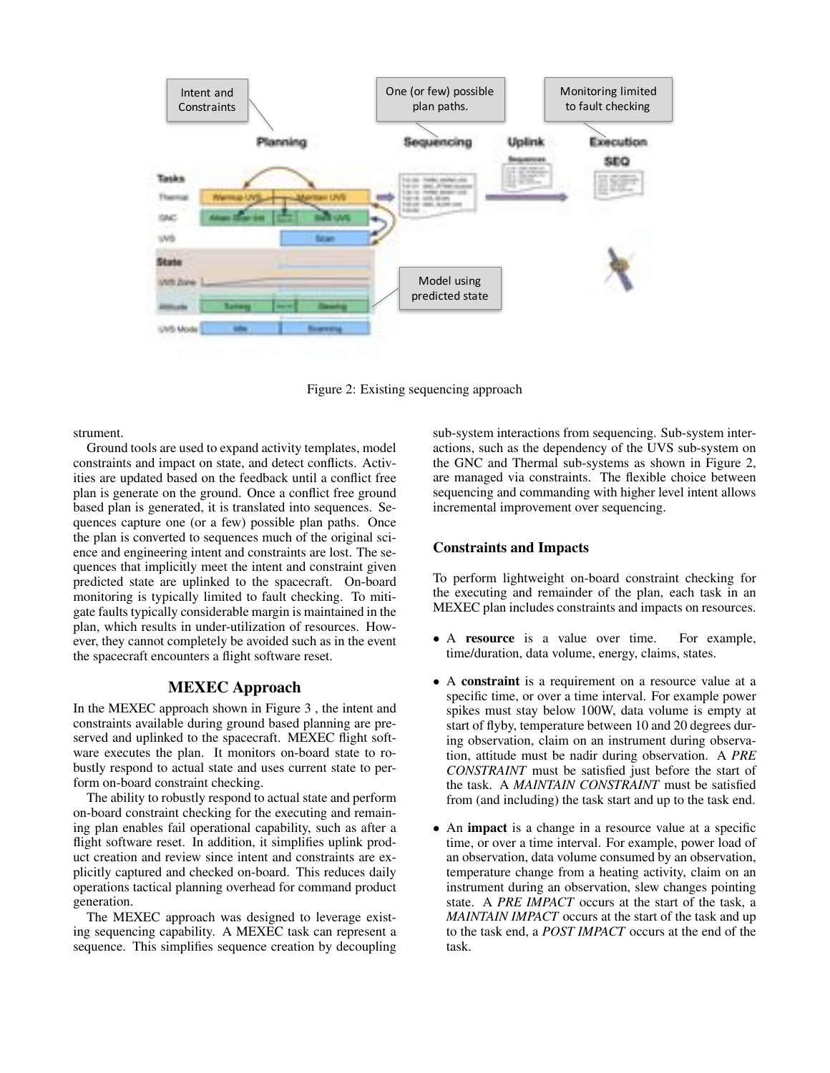<span id="page-1-0"></span>

Figure 2: Existing sequencing approach

strument.

Ground tools are used to expand activity templates, model constraints and impact on state, and detect conflicts. Activities are updated based on the feedback until a conflict free plan is generate on the ground. Once a conflict free ground based plan is generated, it is translated into sequences. Sequences capture one (or a few) possible plan paths. Once the plan is converted to sequences much of the original science and engineering intent and constraints are lost. The sequences that implicitly meet the intent and constraint given predicted state are uplinked to the spacecraft. On-board monitoring is typically limited to fault checking. To mitigate faults typically considerable margin is maintained in the plan, which results in under-utilization of resources. However, they cannot completely be avoided such as in the event the spacecraft encounters a flight software reset.

## MEXEC Approach

In the MEXEC approach shown in Figure [3](#page-2-0) , the intent and constraints available during ground based planning are preserved and uplinked to the spacecraft. MEXEC flight software executes the plan. It monitors on-board state to robustly respond to actual state and uses current state to perform on-board constraint checking.

The ability to robustly respond to actual state and perform on-board constraint checking for the executing and remaining plan enables fail operational capability, such as after a flight software reset. In addition, it simplifies uplink product creation and review since intent and constraints are explicitly captured and checked on-board. This reduces daily operations tactical planning overhead for command product generation.

The MEXEC approach was designed to leverage existing sequencing capability. A MEXEC task can represent a sequence. This simplifies sequence creation by decoupling

sub-system interactions from sequencing. Sub-system interactions, such as the dependency of the UVS sub-system on the GNC and Thermal sub-systems as shown in Figure [2,](#page-1-0) are managed via constraints. The flexible choice between sequencing and commanding with higher level intent allows incremental improvement over sequencing.

## Constraints and Impacts

To perform lightweight on-board constraint checking for the executing and remainder of the plan, each task in an MEXEC plan includes constraints and impacts on resources.

- A resource is a value over time. For example, time/duration, data volume, energy, claims, states.
- A constraint is a requirement on a resource value at a specific time, or over a time interval. For example power spikes must stay below 100W, data volume is empty at start of flyby, temperature between 10 and 20 degrees during observation, claim on an instrument during observation, attitude must be nadir during observation. A *PRE CONSTRAINT* must be satisfied just before the start of the task. A *MAINTAIN CONSTRAINT* must be satisfied from (and including) the task start and up to the task end.
- An **impact** is a change in a resource value at a specific time, or over a time interval. For example, power load of an observation, data volume consumed by an observation, temperature change from a heating activity, claim on an instrument during an observation, slew changes pointing state. A *PRE IMPACT* occurs at the start of the task, a *MAINTAIN IMPACT* occurs at the start of the task and up to the task end, a *POST IMPACT* occurs at the end of the task.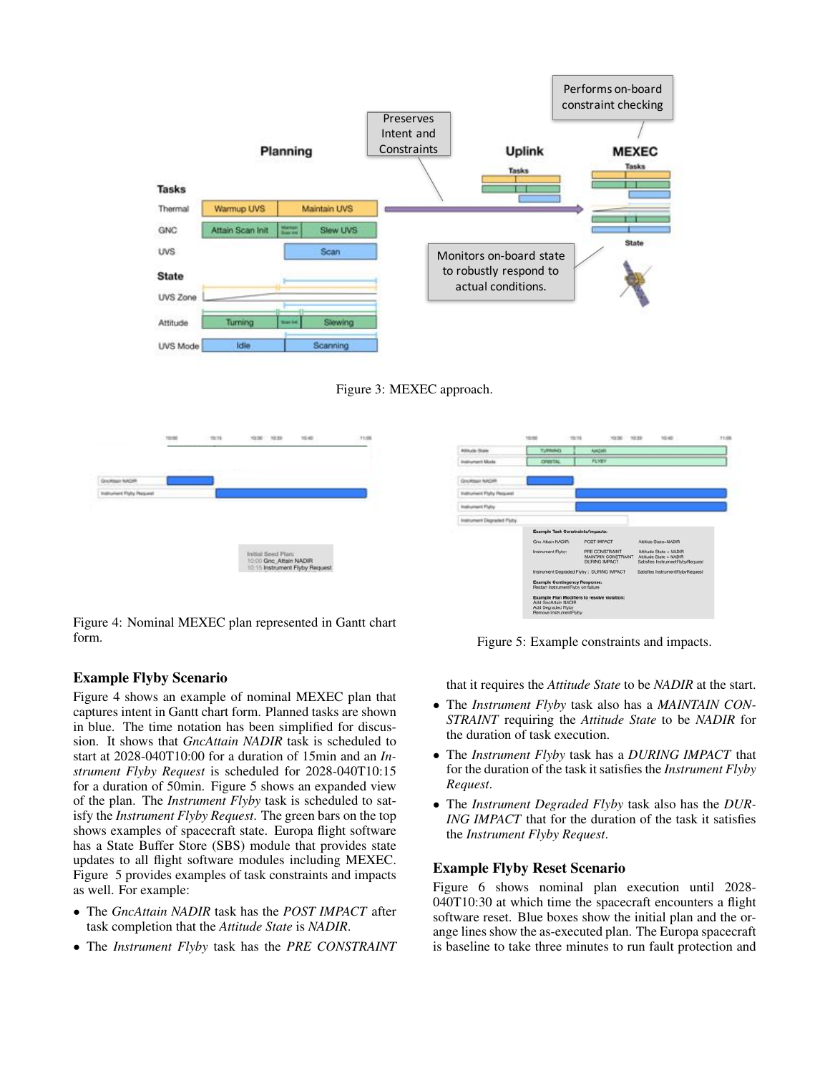<span id="page-2-0"></span>

<span id="page-2-2"></span>

<span id="page-2-1"></span>

| 10:50                           | 10:15 | 10:33<br>10:36                               | 10.40 | 11:05 |                            | 10:50                                                                      | 10:15<br>10:30                                                        | 10.40<br>10:33                                                                                               |
|---------------------------------|-------|----------------------------------------------|-------|-------|----------------------------|----------------------------------------------------------------------------|-----------------------------------------------------------------------|--------------------------------------------------------------------------------------------------------------|
|                                 |       |                                              |       |       | Attack State               | <b>TURNING</b>                                                             | <b>NADIR</b>                                                          |                                                                                                              |
|                                 |       |                                              |       |       | <b>Instrument Mode</b>     | <b>OWNTAL</b>                                                              | <b>FLYES</b>                                                          |                                                                                                              |
| Großtein NADR                   |       |                                              |       |       | Growtest NADAY             |                                                                            |                                                                       |                                                                                                              |
| <b>Indirument Flyty Request</b> |       |                                              |       |       | Instrument Flyty Pequest   |                                                                            |                                                                       |                                                                                                              |
|                                 |       |                                              |       |       | <b>Indirement Palis</b>    |                                                                            |                                                                       |                                                                                                              |
|                                 |       |                                              |       |       | Instrument Disgraded Flyty |                                                                            |                                                                       |                                                                                                              |
|                                 |       |                                              |       |       |                            |                                                                            | Example Task Constraints/Impacts:                                     | <b>SATISFAM LEWIS CONTROL</b>                                                                                |
|                                 |       | Initial Seed Plan:<br>10:00 Gnc Attain NADIR |       |       |                            | Gnc Attain NADIR:<br>Instrument Flyby:                                     | POST IMPACT<br>PRE CONSTRAINT<br>MAINTAIN CONSTRAINT<br>DURING IMPACT | Attitide State=NADIR<br>Attitude State = NADIR<br>Attitude State = NADIR<br>Satisfies InstrumentFlybyRequest |
|                                 |       | 10:15 Instrument Flyby Request               |       |       |                            | <b>Example Contingency Response:</b><br>Restart InstrumentFlyby on failure | Instrument Degraded Flyby: DURING IMPACT                              | Satisfies InstrumentFlybyRequest                                                                             |

Figure 4: Nominal MEXEC plan represented in Gantt chart form.

# Example Flyby Scenario

Figure [4](#page-2-1) shows an example of nominal MEXEC plan that captures intent in Gantt chart form. Planned tasks are shown in blue. The time notation has been simplified for discussion. It shows that *GncAttain NADIR* task is scheduled to start at 2028-040T10:00 for a duration of 15min and an *Instrument Flyby Request* is scheduled for 2028-040T10:15 for a duration of 50min. Figure [5](#page-2-2) shows an expanded view of the plan. The *Instrument Flyby* task is scheduled to satisfy the *Instrument Flyby Request*. The green bars on the top shows examples of spacecraft state. Europa flight software has a State Buffer Store (SBS) module that provides state updates to all flight software modules including MEXEC. Figure [5](#page-2-2) provides examples of task constraints and impacts as well. For example:

- *•* The *GncAttain NADIR* task has the *POST IMPACT* after task completion that the *Attitude State* is *NADIR*.
- *•* The *Instrument Flyby* task has the *PRE CONSTRAINT*

Figure 5: Example constraints and impacts.

that it requires the *Attitude State* to be *NADIR* at the start.

- *•* The *Instrument Flyby* task also has a *MAINTAIN CON-STRAINT* requiring the *Attitude State* to be *NADIR* for the duration of task execution.
- *•* The *Instrument Flyby* task has a *DURING IMPACT* that for the duration of the task it satisfies the *Instrument Flyby Request*.
- *•* The *Instrument Degraded Flyby* task also has the *DUR-ING IMPACT* that for the duration of the task it satisfies the *Instrument Flyby Request*.

# Example Flyby Reset Scenario

Figure [6](#page-3-0) shows nominal plan execution until 2028- 040T10:30 at which time the spacecraft encounters a flight software reset. Blue boxes show the initial plan and the orange lines show the as-executed plan. The Europa spacecraft is baseline to take three minutes to run fault protection and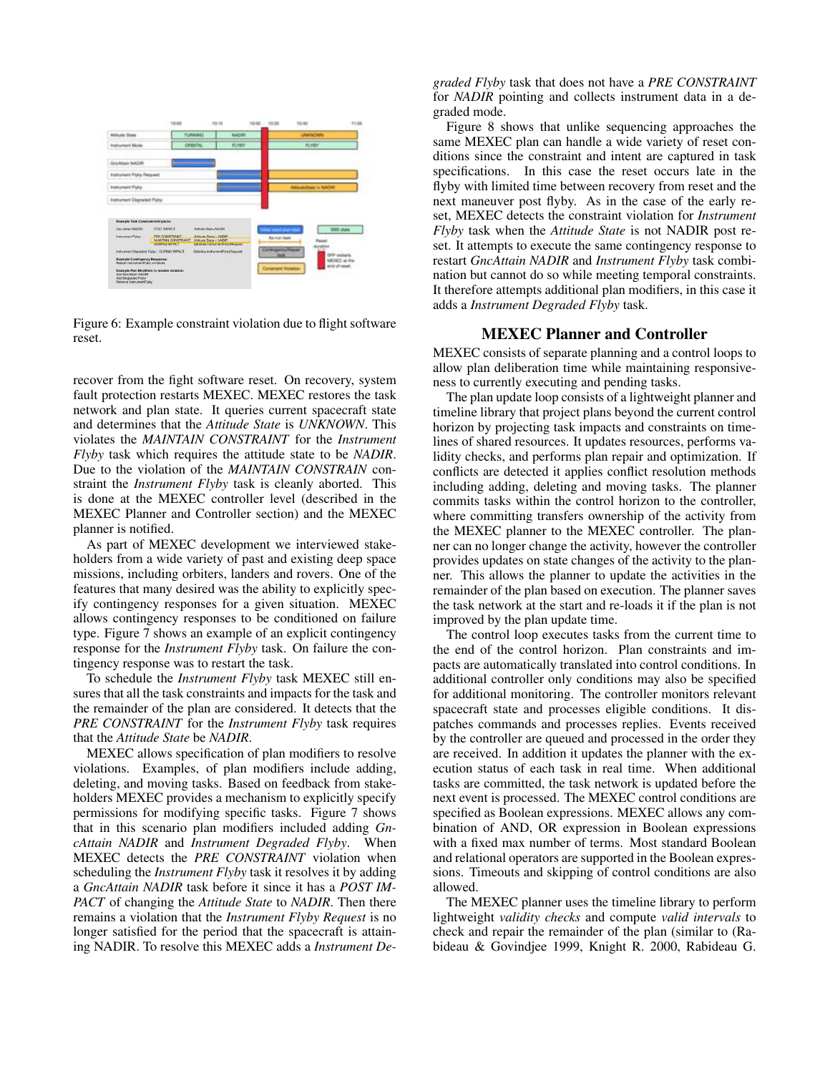<span id="page-3-0"></span>

Figure 6: Example constraint violation due to flight software reset.

recover from the fight software reset. On recovery, system fault protection restarts MEXEC. MEXEC restores the task network and plan state. It queries current spacecraft state and determines that the *Attitude State* is *UNKNOWN*. This violates the *MAINTAIN CONSTRAINT* for the *Instrument Flyby* task which requires the attitude state to be *NADIR*. Due to the violation of the *MAINTAIN CONSTRAIN* constraint the *Instrument Flyby* task is cleanly aborted. This is done at the MEXEC controller level (described in the MEXEC Planner and Controller section) and the MEXEC planner is notified.

As part of MEXEC development we interviewed stakeholders from a wide variety of past and existing deep space missions, including orbiters, landers and rovers. One of the features that many desired was the ability to explicitly specify contingency responses for a given situation. MEXEC allows contingency responses to be conditioned on failure type. Figure [7](#page-4-0) shows an example of an explicit contingency response for the *Instrument Flyby* task. On failure the contingency response was to restart the task.

To schedule the *Instrument Flyby* task MEXEC still ensures that all the task constraints and impacts for the task and the remainder of the plan are considered. It detects that the *PRE CONSTRAINT* for the *Instrument Flyby* task requires that the *Attitude State* be *NADIR*.

MEXEC allows specification of plan modifiers to resolve violations. Examples, of plan modifiers include adding, deleting, and moving tasks. Based on feedback from stakeholders MEXEC provides a mechanism to explicitly specify permissions for modifying specific tasks. Figure [7](#page-4-0) shows that in this scenario plan modifiers included adding *GncAttain NADIR* and *Instrument Degraded Flyby*. When MEXEC detects the *PRE CONSTRAINT* violation when scheduling the *Instrument Flyby* task it resolves it by adding a *GncAttain NADIR* task before it since it has a *POST IM-PACT* of changing the *Attitude State* to *NADIR*. Then there remains a violation that the *Instrument Flyby Request* is no longer satisfied for the period that the spacecraft is attaining NADIR. To resolve this MEXEC adds a *Instrument De-* *graded Flyby* task that does not have a *PRE CONSTRAINT* for *NADIR* pointing and collects instrument data in a degraded mode.

Figure [8](#page-4-1) shows that unlike sequencing approaches the same MEXEC plan can handle a wide variety of reset conditions since the constraint and intent are captured in task specifications. In this case the reset occurs late in the flyby with limited time between recovery from reset and the next maneuver post flyby. As in the case of the early reset, MEXEC detects the constraint violation for *Instrument Flyby* task when the *Attitude State* is not NADIR post reset. It attempts to execute the same contingency response to restart *GncAttain NADIR* and *Instrument Flyby* task combination but cannot do so while meeting temporal constraints. It therefore attempts additional plan modifiers, in this case it adds a *Instrument Degraded Flyby* task.

## MEXEC Planner and Controller

MEXEC consists of separate planning and a control loops to allow plan deliberation time while maintaining responsiveness to currently executing and pending tasks.

The plan update loop consists of a lightweight planner and timeline library that project plans beyond the current control horizon by projecting task impacts and constraints on timelines of shared resources. It updates resources, performs validity checks, and performs plan repair and optimization. If conflicts are detected it applies conflict resolution methods including adding, deleting and moving tasks. The planner commits tasks within the control horizon to the controller, where committing transfers ownership of the activity from the MEXEC planner to the MEXEC controller. The planner can no longer change the activity, however the controller provides updates on state changes of the activity to the planner. This allows the planner to update the activities in the remainder of the plan based on execution. The planner saves the task network at the start and re-loads it if the plan is not improved by the plan update time.

The control loop executes tasks from the current time to the end of the control horizon. Plan constraints and impacts are automatically translated into control conditions. In additional controller only conditions may also be specified for additional monitoring. The controller monitors relevant spacecraft state and processes eligible conditions. It dispatches commands and processes replies. Events received by the controller are queued and processed in the order they are received. In addition it updates the planner with the execution status of each task in real time. When additional tasks are committed, the task network is updated before the next event is processed. The MEXEC control conditions are specified as Boolean expressions. MEXEC allows any combination of AND, OR expression in Boolean expressions with a fixed max number of terms. Most standard Boolean and relational operators are supported in the Boolean expressions. Timeouts and skipping of control conditions are also allowed.

The MEXEC planner uses the timeline library to perform lightweight *validity checks* and compute *valid intervals* to check and repair the remainder of the plan (similar to [\(Ra](#page-7-0)[bideau & Govindjee 1999,](#page-7-0) [Knight R. 2000,](#page-7-1) [Rabideau G.](#page-8-0)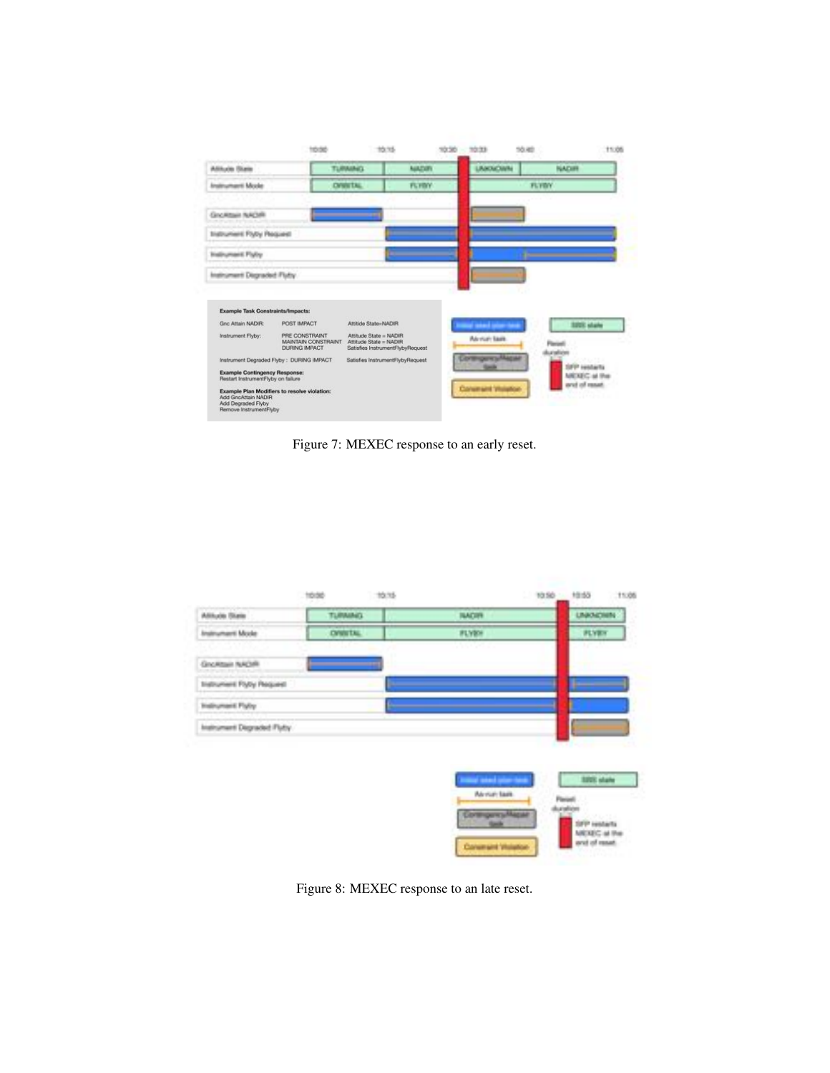<span id="page-4-0"></span>

[Figure 7: MEXEC response to an early reset.](#page-8-0)

<span id="page-4-1"></span>

[Figure 8: MEXEC response to an late reset.](#page-8-0)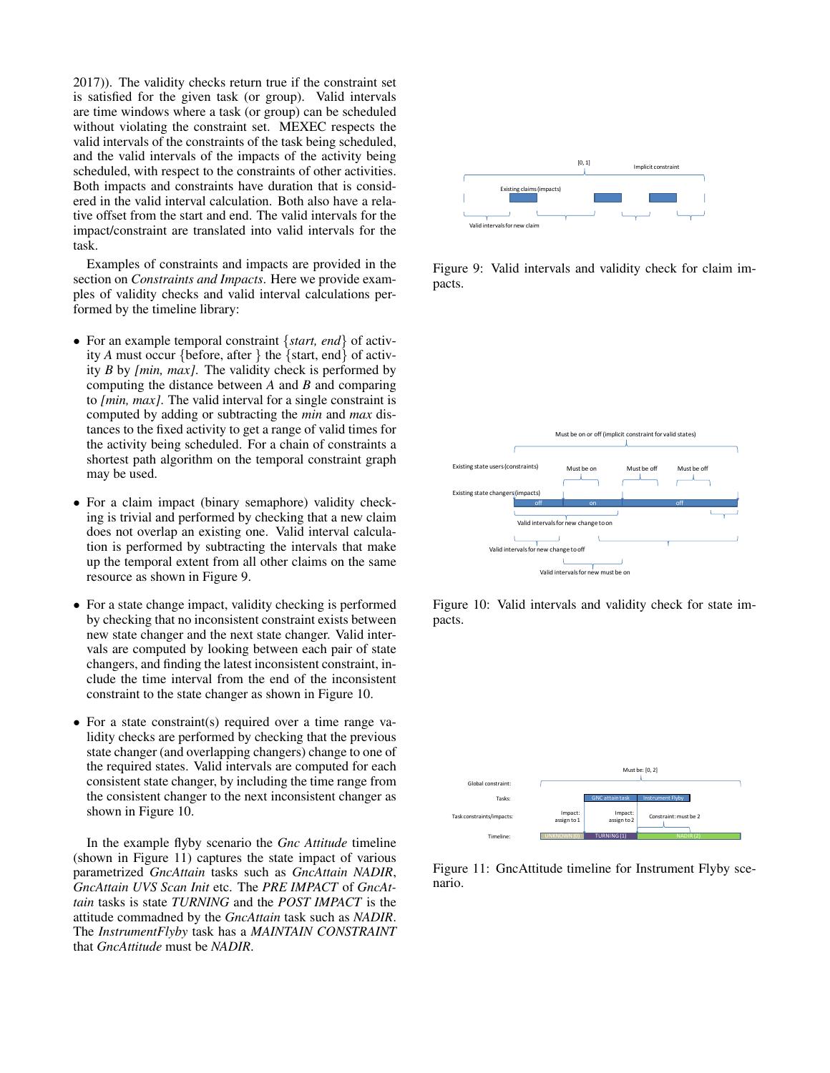[2017\)](#page-8-0)). The validity checks return true if the constraint set is satisfied for the given task (or group). Valid intervals are time windows where a task (or group) can be scheduled without violating the constraint set. MEXEC respects the valid intervals of the constraints of the task being scheduled, and the valid intervals of the impacts of the activity being scheduled, with respect to the constraints of other activities. Both impacts and constraints have duration that is considered in the valid interval calculation. Both also have a relative offset from the start and end. The valid intervals for the impact/constraint are translated into valid intervals for the task.

Examples of constraints and impacts are provided in the section on *Constraints and Impacts*. Here we provide examples of validity checks and valid interval calculations performed by the timeline library:

- *•* For an example temporal constraint *{start, end}* of activity *A* must occur *{*before, after *}* the *{*start, end*}* of activity *B* by *[min, max]*. The validity check is performed by computing the distance between *A* and *B* and comparing to *[min, max]*. The valid interval for a single constraint is computed by adding or subtracting the *min* and *max* distances to the fixed activity to get a range of valid times for the activity being scheduled. For a chain of constraints a shortest path algorithm on the temporal constraint graph may be used.
- *•* For a claim impact (binary semaphore) validity checking is trivial and performed by checking that a new claim does not overlap an existing one. Valid interval calculation is performed by subtracting the intervals that make up the temporal extent from all other claims on the same resource as shown in Figure [9.](#page-5-0)
- *•* For a state change impact, validity checking is performed by checking that no inconsistent constraint exists between new state changer and the next state changer. Valid intervals are computed by looking between each pair of state changers, and finding the latest inconsistent constraint, include the time interval from the end of the inconsistent constraint to the state changer as shown in Figure [10.](#page-5-1)
- For a state constraint(s) required over a time range validity checks are performed by checking that the previous state changer (and overlapping changers) change to one of the required states. Valid intervals are computed for each consistent state changer, by including the time range from the consistent changer to the next inconsistent changer as shown in Figure [10.](#page-5-1)

In the example flyby scenario the *Gnc Attitude* timeline (shown in Figure [11\)](#page-5-2) captures the state impact of various parametrized *GncAttain* tasks such as *GncAttain NADIR*, *GncAttain UVS Scan Init* etc. The *PRE IMPACT* of *GncAttain* tasks is state *TURNING* and the *POST IMPACT* is the attitude commadned by the *GncAttain* task such as *NADIR*. The *InstrumentFlyby* task has a *MAINTAIN CONSTRAINT* that *GncAttitude* must be *NADIR*.

<span id="page-5-0"></span>

Figure 9: Valid intervals and validity check for claim impacts.

<span id="page-5-1"></span>

Figure 10: Valid intervals and validity check for state impacts.

<span id="page-5-2"></span>

Figure 11: GncAttitude timeline for Instrument Flyby scenario.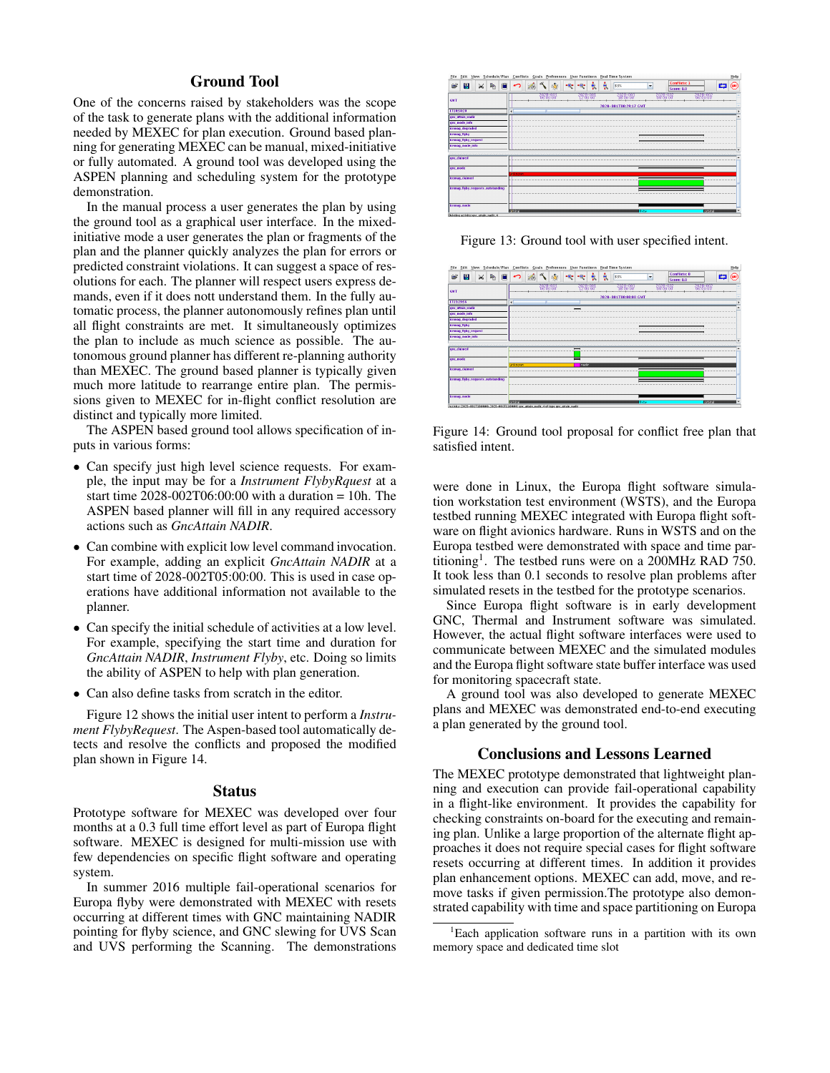# Ground Tool

One of the concerns raised by stakeholders was the scope of the task to generate plans with the additional information needed by MEXEC for plan execution. Ground based planning for generating MEXEC can be manual, mixed-initiative or fully automated. A ground tool was developed using the ASPEN planning and scheduling system for the prototype demonstration.

In the manual process a user generates the plan by using the ground tool as a graphical user interface. In the mixedinitiative mode a user generates the plan or fragments of the plan and the planner quickly analyzes the plan for errors or predicted constraint violations. It can suggest a space of resolutions for each. The planner will respect users express demands, even if it does nott understand them. In the fully automatic process, the planner autonomously refines plan until all flight constraints are met. It simultaneously optimizes the plan to include as much science as possible. The autonomous ground planner has different re-planning authority than MEXEC. The ground based planner is typically given much more latitude to rearrange entire plan. The permissions given to MEXEC for in-flight conflict resolution are distinct and typically more limited.

The ASPEN based ground tool allows specification of inputs in various forms:

- *•* Can specify just high level science requests. For example, the input may be for a *Instrument FlybyRquest* at a start time  $2028-002T06:00:00$  with a duration = 10h. The ASPEN based planner will fill in any required accessory actions such as *GncAttain NADIR*.
- Can combine with explicit low level command invocation. For example, adding an explicit *GncAttain NADIR* at a start time of 2028-002T05:00:00. This is used in case operations have additional information not available to the planner.
- *•* Can specify the initial schedule of activities at a low level. For example, specifying the start time and duration for *GncAttain NADIR*, *Instrument Flyby*, etc. Doing so limits the ability of ASPEN to help with plan generation.
- *•* Can also define tasks from scratch in the editor.

Figure [12](#page-7-2) shows the initial user intent to perform a *Instrument FlybyRequest*. The Aspen-based tool automatically detects and resolve the conflicts and proposed the modified plan shown in Figure [14.](#page-6-0)

#### Status

Prototype software for MEXEC was developed over four months at a 0.3 full time effort level as part of Europa flight software. MEXEC is designed for multi-mission use with few dependencies on specific flight software and operating system.

In summer 2016 multiple fail-operational scenarios for Europa flyby were demonstrated with MEXEC with resets occurring at different times with GNC maintaining NADIR pointing for flyby science, and GNC slewing for UVS Scan and UVS performing the Scanning. The demonstrations



Figure 13: Ground tool with user specified intent.

<span id="page-6-0"></span>

Figure 14: Ground tool proposal for conflict free plan that satisfied intent.

were done in Linux, the Europa flight software simulation workstation test environment (WSTS), and the Europa testbed running MEXEC integrated with Europa flight software on flight avionics hardware. Runs in WSTS and on the Europa testbed were demonstrated with space and time partitioning<sup>1</sup>. The testbed runs were on a 200MHz RAD 750. It took less than 0.1 seconds to resolve plan problems after simulated resets in the testbed for the prototype scenarios.

Since Europa flight software is in early development GNC, Thermal and Instrument software was simulated. However, the actual flight software interfaces were used to communicate between MEXEC and the simulated modules and the Europa flight software state buffer interface was used for monitoring spacecraft state.

A ground tool was also developed to generate MEXEC plans and MEXEC was demonstrated end-to-end executing a plan generated by the ground tool.

#### Conclusions and Lessons Learned

The MEXEC prototype demonstrated that lightweight planning and execution can provide fail-operational capability in a flight-like environment. It provides the capability for checking constraints on-board for the executing and remaining plan. Unlike a large proportion of the alternate flight approaches it does not require special cases for flight software resets occurring at different times. In addition it provides plan enhancement options. MEXEC can add, move, and remove tasks if given permission.The prototype also demonstrated capability with time and space partitioning on Europa

<span id="page-6-1"></span><sup>1</sup> Each application software runs in a partition with its own memory space and dedicated time slot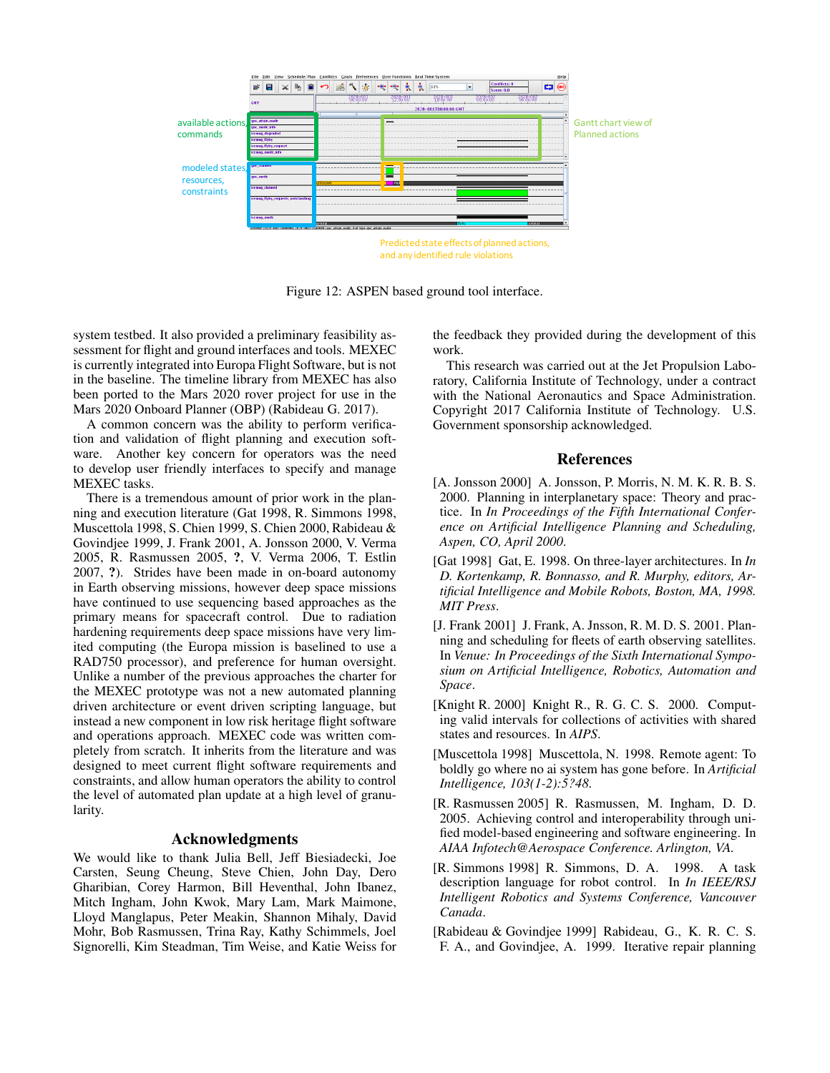<span id="page-7-2"></span>

Figure 12: ASPEN based ground tool interface.

system testbed. It also provided a preliminary feasibility assessment for flight and ground interfaces and tools. MEXEC is currently integrated into Europa Flight Software, but is not in the baseline. The timeline library from MEXEC has also been ported to the Mars 2020 rover project for use in the Mars 2020 Onboard Planner (OBP) [\(Rabideau G. 2017\)](#page-8-0).

A common concern was the ability to perform verification and validation of flight planning and execution software. Another key concern for operators was the need to develop user friendly interfaces to specify and manage MEXEC tasks.

There is a tremendous amount of prior work in the planning and execution literature [\(Gat 1998,](#page-7-3) [R. Simmons 1998,](#page-7-4) [Muscettola 1998,](#page-7-5) [S. Chien 1999,](#page-8-1) [S. Chien 2000,](#page-8-2) [Rabideau &](#page-7-0) [Govindjee 1999,](#page-7-0) [J. Frank 2001,](#page-7-6) [A. Jonsson 2000,](#page-7-7) [V. Verma](#page-8-3) [2005,](#page-8-3) [R. Rasmussen 2005,](#page-7-8) ?, [V. Verma 2006,](#page-8-4) [T. Estlin](#page-8-5) [2007,](#page-8-5) ?). Strides have been made in on-board autonomy in Earth observing missions, however deep space missions have continued to use sequencing based approaches as the primary means for spacecraft control. Due to radiation hardening requirements deep space missions have very limited computing (the Europa mission is baselined to use a RAD750 processor), and preference for human oversight. Unlike a number of the previous approaches the charter for the MEXEC prototype was not a new automated planning driven architecture or event driven scripting language, but instead a new component in low risk heritage flight software and operations approach. MEXEC code was written completely from scratch. It inherits from the literature and was designed to meet current flight software requirements and constraints, and allow human operators the ability to control the level of automated plan update at a high level of granularity.

## Acknowledgments

We would like to thank Julia Bell, Jeff Biesiadecki, Joe Carsten, Seung Cheung, Steve Chien, John Day, Dero Gharibian, Corey Harmon, Bill Heventhal, John Ibanez, Mitch Ingham, John Kwok, Mary Lam, Mark Maimone, Lloyd Manglapus, Peter Meakin, Shannon Mihaly, David Mohr, Bob Rasmussen, Trina Ray, Kathy Schimmels, Joel Signorelli, Kim Steadman, Tim Weise, and Katie Weiss for

the feedback they provided during the development of this work.

This research was carried out at the Jet Propulsion Laboratory, California Institute of Technology, under a contract with the National Aeronautics and Space Administration. Copyright 2017 California Institute of Technology. U.S. Government sponsorship acknowledged.

## References

- <span id="page-7-7"></span>[A. Jonsson 2000] A. Jonsson, P. Morris, N. M. K. R. B. S. 2000. Planning in interplanetary space: Theory and practice. In *In Proceedings of the Fifth International Conference on Artificial Intelligence Planning and Scheduling, Aspen, CO, April 2000*.
- <span id="page-7-3"></span>[Gat 1998] Gat, E. 1998. On three-layer architectures. In *In D. Kortenkamp, R. Bonnasso, and R. Murphy, editors, Artificial Intelligence and Mobile Robots, Boston, MA, 1998. MIT Press*.
- <span id="page-7-6"></span>[J. Frank 2001] J. Frank, A. Jnsson, R. M. D. S. 2001. Planning and scheduling for fleets of earth observing satellites. In *Venue: In Proceedings of the Sixth International Symposium on Artificial Intelligence, Robotics, Automation and Space*.
- <span id="page-7-1"></span>[Knight R. 2000] Knight R., R. G. C. S. 2000. Computing valid intervals for collections of activities with shared states and resources. In *AIPS*.
- <span id="page-7-5"></span>[Muscettola 1998] Muscettola, N. 1998. Remote agent: To boldly go where no ai system has gone before. In *Artificial Intelligence, 103(1-2):5?48*.
- <span id="page-7-8"></span>[R. Rasmussen 2005] R. Rasmussen, M. Ingham, D. D. 2005. Achieving control and interoperability through unified model-based engineering and software engineering. In *AIAA Infotech@Aerospace Conference. Arlington, VA.*
- <span id="page-7-4"></span>[R. Simmons 1998] R. Simmons, D. A. 1998. A task description language for robot control. In *In IEEE/RSJ Intelligent Robotics and Systems Conference, Vancouver Canada*.
- <span id="page-7-0"></span>[Rabideau & Govindjee 1999] Rabideau, G., K. R. C. S. F. A., and Govindjee, A. 1999. Iterative repair planning